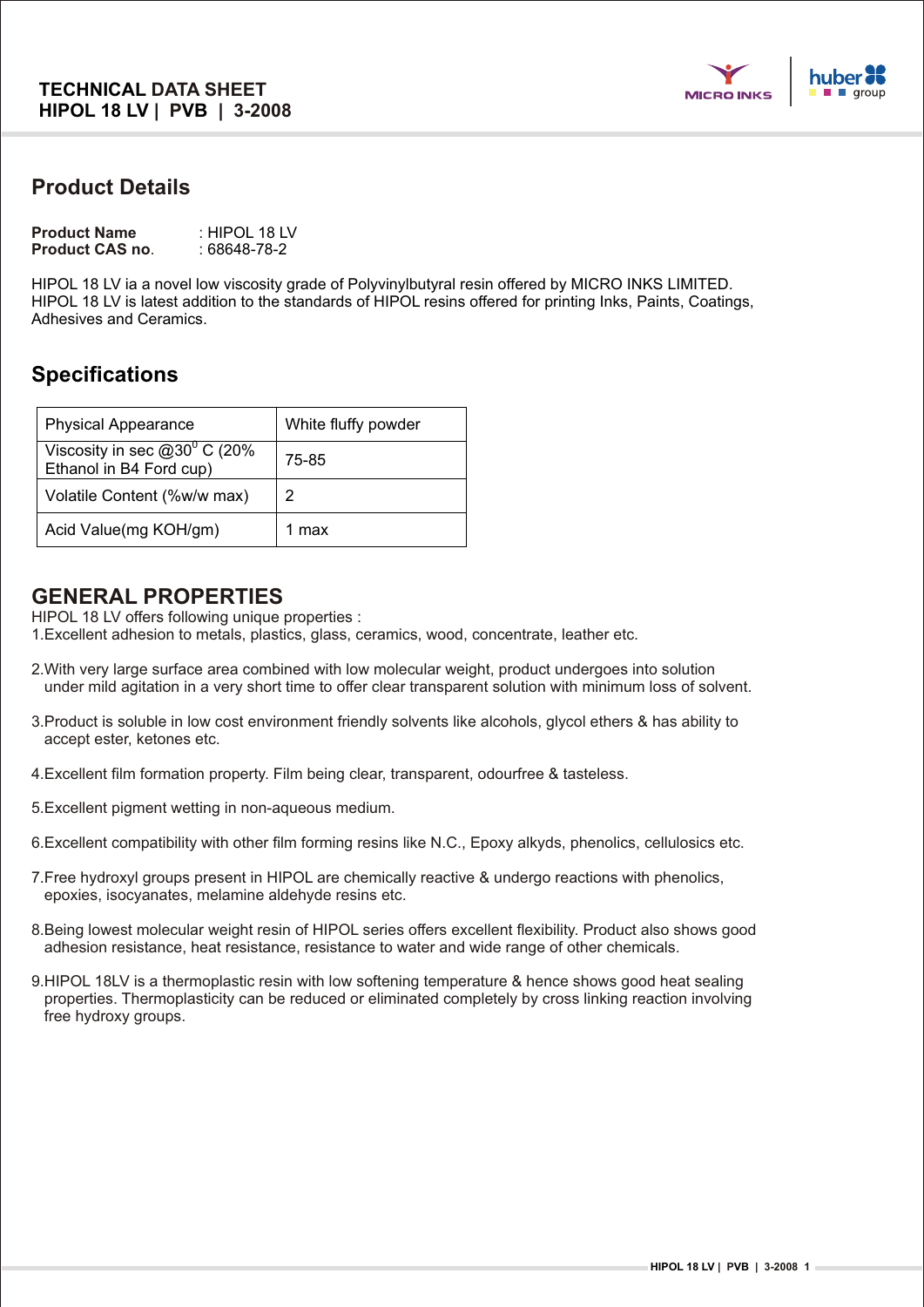

### **Product Details**

| <b>Product Name</b>    | : HIPOL 18 LV |
|------------------------|---------------|
| <b>Product CAS no.</b> | : 68648-78-2  |

HIPOL 18 LV ia a novel low viscosity grade of Polyvinylbutyral resin offered by MICRO INKS LIMITED. HIPOL 18 LV is latest addition to the standards of HIPOL resins offered for printing Inks, Paints, Coatings, Adhesives and Ceramics.

# **Specifications**

| <b>Physical Appearance</b>                                 | White fluffy powder |
|------------------------------------------------------------|---------------------|
| Viscosity in sec $@30°$ C (20%)<br>Ethanol in B4 Ford cup) | 75-85               |
| Volatile Content (%w/w max)                                | 2                   |
| Acid Value(mg KOH/gm)                                      | 1 max               |

#### **GENERAL PROPERTIES**

HIPOL 18 LV offers following unique properties :

1.Excellent adhesion to metals, plastics, glass, ceramics, wood, concentrate, leather etc.

- 2.With very large surface area combined with low molecular weight, product undergoes into solution under mild agitation in a very short time to offer clear transparent solution with minimum loss of solvent.
- 3.Product is soluble in low cost environment friendly solvents like alcohols, glycol ethers & has ability to accept ester, ketones etc.
- 4.Excellent film formation property. Film being clear, transparent, odourfree & tasteless.
- 5.Excellent pigment wetting in non-aqueous medium.
- 6.Excellent compatibility with other film forming resins like N.C., Epoxy alkyds, phenolics, cellulosics etc.
- 7.Free hydroxyl groups present in HIPOL are chemically reactive & undergo reactions with phenolics, epoxies, isocyanates, melamine aldehyde resins etc.
- 8.Being lowest molecular weight resin of HIPOL series offers excellent flexibility. Product also shows good adhesion resistance, heat resistance, resistance to water and wide range of other chemicals.
- 9.HIPOL 18LV is a thermoplastic resin with low softening temperature & hence shows good heat sealing properties. Thermoplasticity can be reduced or eliminated completely by cross linking reaction involving free hydroxy groups.